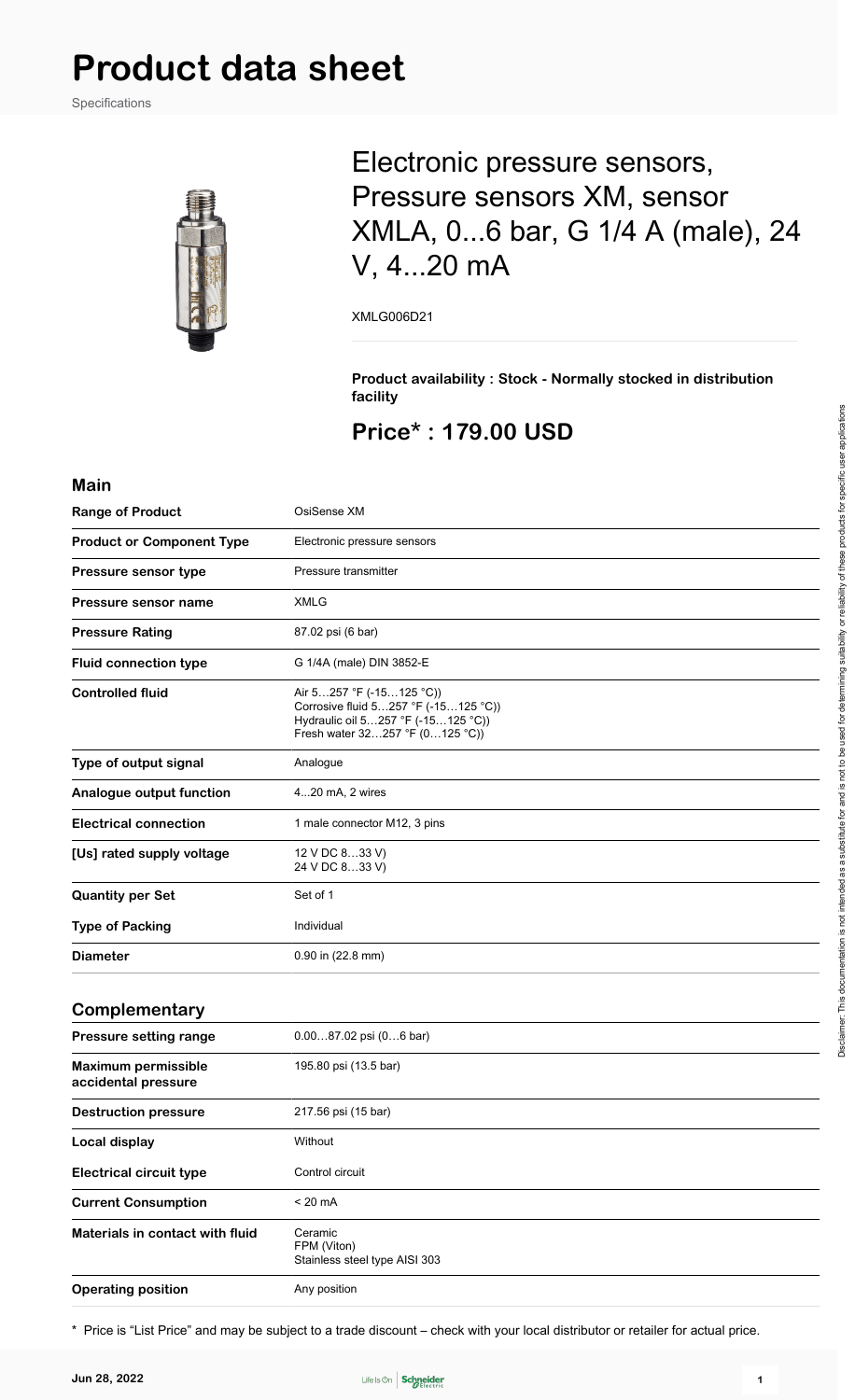Specifications



## Electronic pressure sensors, Pressure sensors XM, sensor XMLA, 0...6 bar, G 1/4 A (male), 24 V, 4...20 mA

XMLG006D21

**Product availability : Stock - Normally stocked in distribution facility**

## **Price\* : 179.00 USD**

#### **Main**

| <b>Range of Product</b>                           | OsiSense XM                                                                                                                               |
|---------------------------------------------------|-------------------------------------------------------------------------------------------------------------------------------------------|
| <b>Product or Component Type</b>                  | Electronic pressure sensors                                                                                                               |
| Pressure sensor type                              | Pressure transmitter                                                                                                                      |
| Pressure sensor name                              | <b>XMLG</b>                                                                                                                               |
| <b>Pressure Rating</b>                            | 87.02 psi (6 bar)                                                                                                                         |
| <b>Fluid connection type</b>                      | G 1/4A (male) DIN 3852-E                                                                                                                  |
| <b>Controlled fluid</b>                           | Air 5257 °F (-15125 °C))<br>Corrosive fluid 5257 °F (-15125 °C))<br>Hydraulic oil 5257 °F (-15125 °C))<br>Fresh water 32257 °F (0125 °C)) |
| Type of output signal                             | Analogue                                                                                                                                  |
| Analogue output function                          | 420 mA, 2 wires                                                                                                                           |
| <b>Electrical connection</b>                      | 1 male connector M12, 3 pins                                                                                                              |
| [Us] rated supply voltage                         | 12 V DC 833 V)<br>24 V DC 833 V)                                                                                                          |
| <b>Quantity per Set</b>                           | Set of 1                                                                                                                                  |
| <b>Type of Packing</b>                            | Individual                                                                                                                                |
| <b>Diameter</b>                                   | 0.90 in (22.8 mm)                                                                                                                         |
| Complementary                                     |                                                                                                                                           |
| Pressure setting range                            | $0.0087.02$ psi $(06$ bar)                                                                                                                |
| <b>Maximum permissible</b><br>accidental pressure | 195.80 psi (13.5 bar)                                                                                                                     |
| <b>Destruction pressure</b>                       | 217.56 psi (15 bar)                                                                                                                       |
| <b>Local display</b>                              | Without                                                                                                                                   |
| <b>Electrical circuit type</b>                    | Control circuit                                                                                                                           |
| <b>Current Consumption</b>                        | $< 20 \text{ mA}$                                                                                                                         |
| Materials in contact with fluid                   | Ceramic<br>FPM (Viton)<br>Stainless steel type AISI 303                                                                                   |
| <b>Operating position</b>                         | Any position                                                                                                                              |

\* Price is "List Price" and may be subject to a trade discount – check with your local distributor or retailer for actual price.

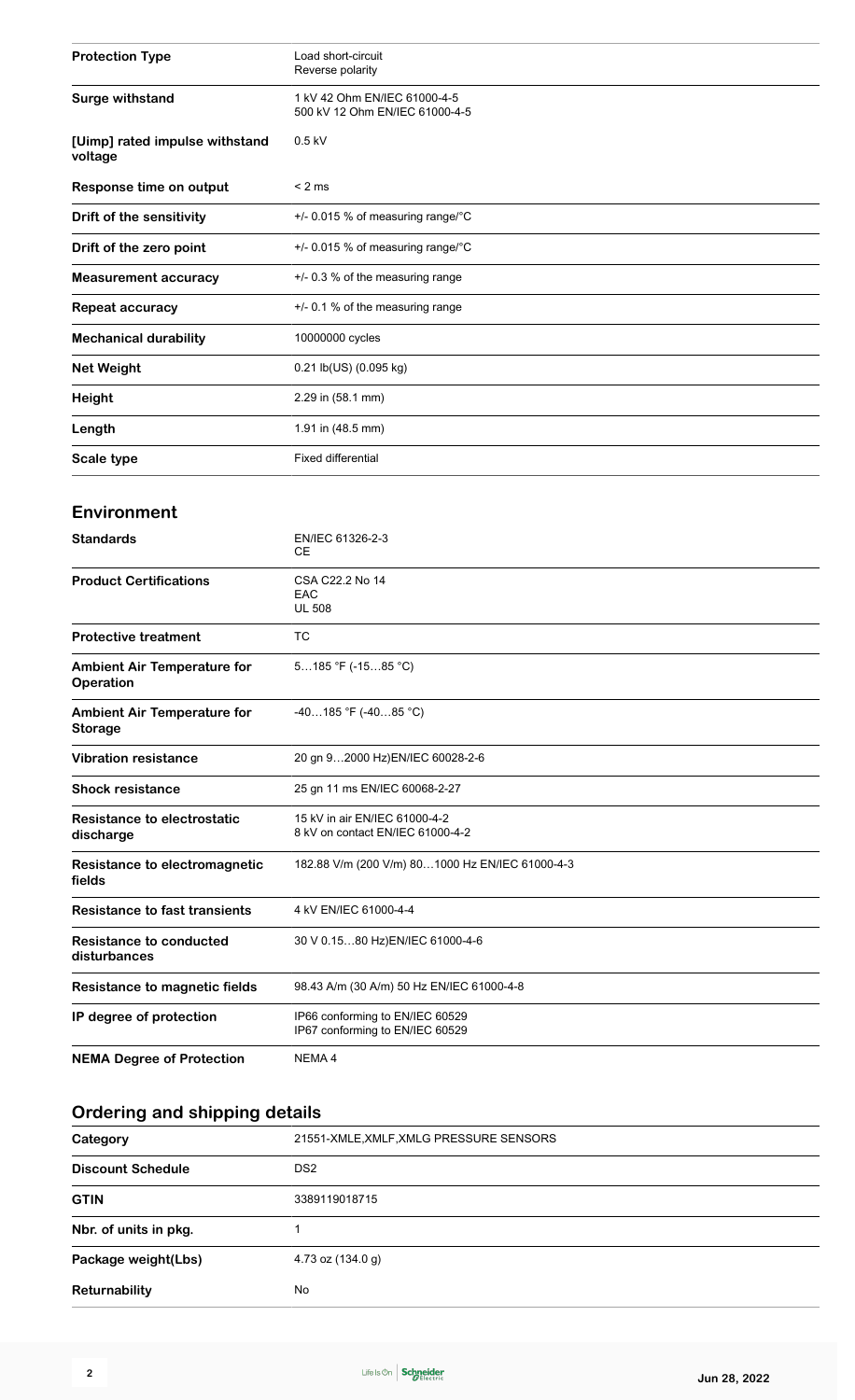| <b>Protection Type</b>                    | Load short-circuit<br>Reverse polarity                         |
|-------------------------------------------|----------------------------------------------------------------|
| <b>Surge withstand</b>                    | 1 kV 42 Ohm EN/IEC 61000-4-5<br>500 kV 12 Ohm EN/IEC 61000-4-5 |
| [Uimp] rated impulse withstand<br>voltage | $0.5$ kV                                                       |
| Response time on output                   | $< 2$ ms                                                       |
| Drift of the sensitivity                  | +/- 0.015 % of measuring range/°C                              |
| Drift of the zero point                   | +/- 0.015 % of measuring range/°C                              |
| <b>Measurement accuracy</b>               | $+/-$ 0.3 % of the measuring range                             |
| Repeat accuracy                           | $+/-$ 0.1 % of the measuring range                             |
| <b>Mechanical durability</b>              | 10000000 cycles                                                |
| <b>Net Weight</b>                         | $0.21$ lb(US) $(0.095$ kg)                                     |
| <b>Height</b>                             | 2.29 in (58.1 mm)                                              |
| Length                                    | 1.91 in (48.5 mm)                                              |
| Scale type                                | <b>Fixed differential</b>                                      |
|                                           |                                                                |

#### **Environment**

| <b>Standards</b>                                       | EN/IEC 61326-2-3<br><b>CE</b>                                      |
|--------------------------------------------------------|--------------------------------------------------------------------|
| <b>Product Certifications</b>                          | CSA C22.2 No 14<br>EAC<br><b>UL 508</b>                            |
| <b>Protective treatment</b>                            | <b>TC</b>                                                          |
| <b>Ambient Air Temperature for</b><br><b>Operation</b> | $5185$ °F (-1585 °C)                                               |
| <b>Ambient Air Temperature for</b><br><b>Storage</b>   | $-40185$ °F (-4085 °C)                                             |
| <b>Vibration resistance</b>                            | 20 gn 92000 Hz)EN/IEC 60028-2-6                                    |
| <b>Shock resistance</b>                                | 25 gn 11 ms EN/IEC 60068-2-27                                      |
| Resistance to electrostatic<br>discharge               | 15 kV in air EN/IEC 61000-4-2<br>8 kV on contact EN/IEC 61000-4-2  |
| Resistance to electromagnetic<br>fields                | 182.88 V/m (200 V/m) 801000 Hz EN/IEC 61000-4-3                    |
| <b>Resistance to fast transients</b>                   | 4 kV EN/IEC 61000-4-4                                              |
| <b>Resistance to conducted</b><br>disturbances         | 30 V 0.1580 Hz)EN/IEC 61000-4-6                                    |
| <b>Resistance to magnetic fields</b>                   | 98.43 A/m (30 A/m) 50 Hz EN/IEC 61000-4-8                          |
| IP degree of protection                                | IP66 conforming to EN/IEC 60529<br>IP67 conforming to EN/IEC 60529 |
| <b>NEMA Degree of Protection</b>                       | NEMA <sub>4</sub>                                                  |

## **Ordering and shipping details**

| Category                 | 21551-XMLE, XMLF, XMLG PRESSURE SENSORS |
|--------------------------|-----------------------------------------|
| <b>Discount Schedule</b> | DS <sub>2</sub>                         |
| <b>GTIN</b>              | 3389119018715                           |
| Nbr. of units in pkg.    |                                         |
| Package weight(Lbs)      | 4.73 oz (134.0 g)                       |
| Returnability            | No                                      |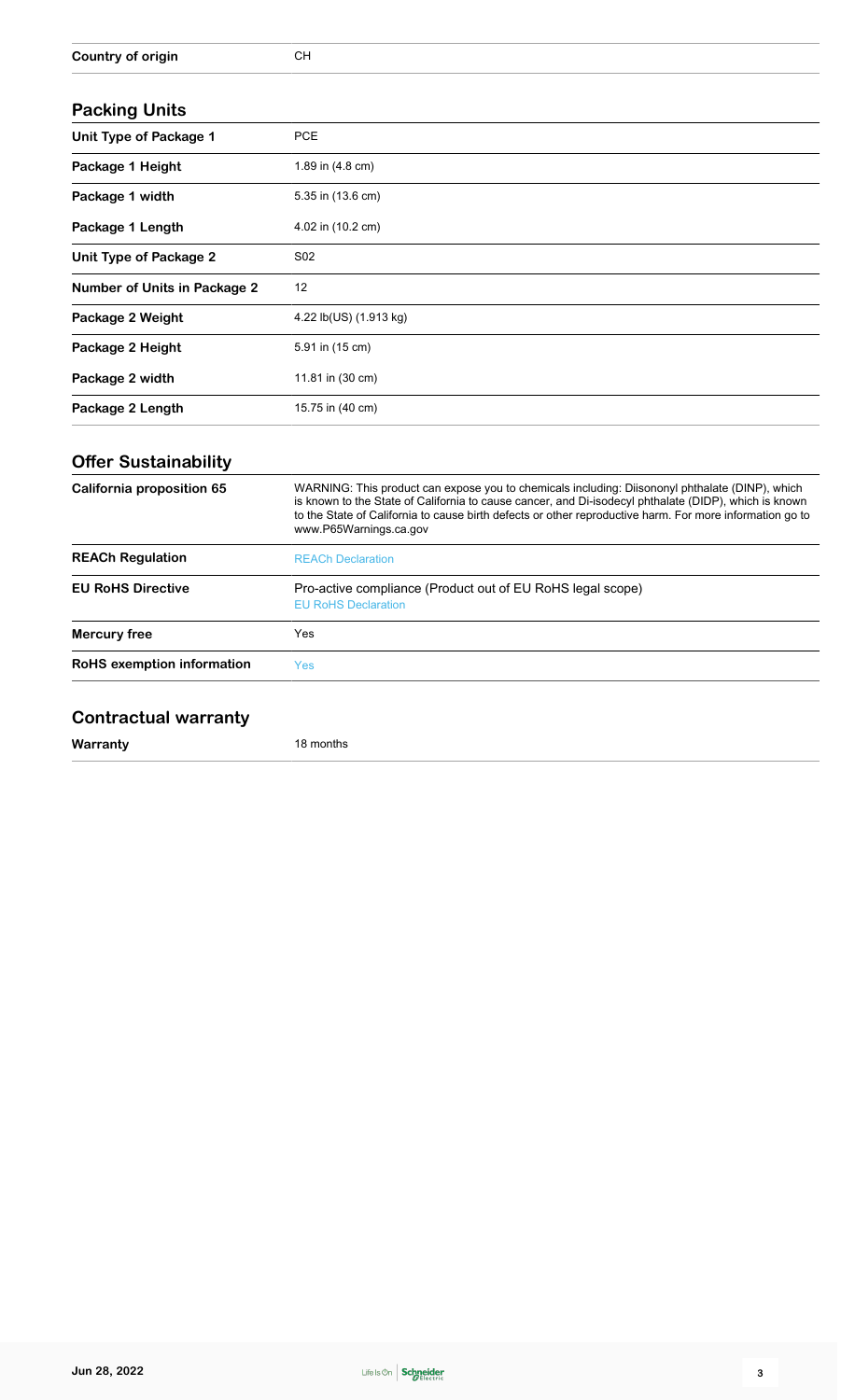#### **Packing Units**

| <b>Faunilly Ullits</b>              |                        |
|-------------------------------------|------------------------|
| <b>Unit Type of Package 1</b>       | <b>PCE</b>             |
| Package 1 Height                    | 1.89 in (4.8 cm)       |
| Package 1 width                     | 5.35 in (13.6 cm)      |
| Package 1 Length                    | 4.02 in (10.2 cm)      |
| Unit Type of Package 2              | S02                    |
| <b>Number of Units in Package 2</b> | 12                     |
| Package 2 Weight                    | 4.22 lb(US) (1.913 kg) |
| Package 2 Height                    | 5.91 in (15 cm)        |
| Package 2 width                     | 11.81 in (30 cm)       |
| Package 2 Length                    | 15.75 in (40 cm)       |

## **Offer Sustainability**

| California proposition 65  | WARNING: This product can expose you to chemicals including: Diisononyl phthalate (DINP), which<br>is known to the State of California to cause cancer, and Di-isodecyl phthalate (DIDP), which is known<br>to the State of California to cause birth defects or other reproductive harm. For more information go to<br>www.P65Warnings.ca.gov |
|----------------------------|------------------------------------------------------------------------------------------------------------------------------------------------------------------------------------------------------------------------------------------------------------------------------------------------------------------------------------------------|
| <b>REACh Regulation</b>    | <b>REACh Declaration</b>                                                                                                                                                                                                                                                                                                                       |
| <b>EU RoHS Directive</b>   | Pro-active compliance (Product out of EU RoHS legal scope)<br><b>EU RoHS Declaration</b>                                                                                                                                                                                                                                                       |
| Mercury free               | Yes                                                                                                                                                                                                                                                                                                                                            |
| RoHS exemption information | Yes                                                                                                                                                                                                                                                                                                                                            |

## **Contractual warranty**

**Warranty** 18 months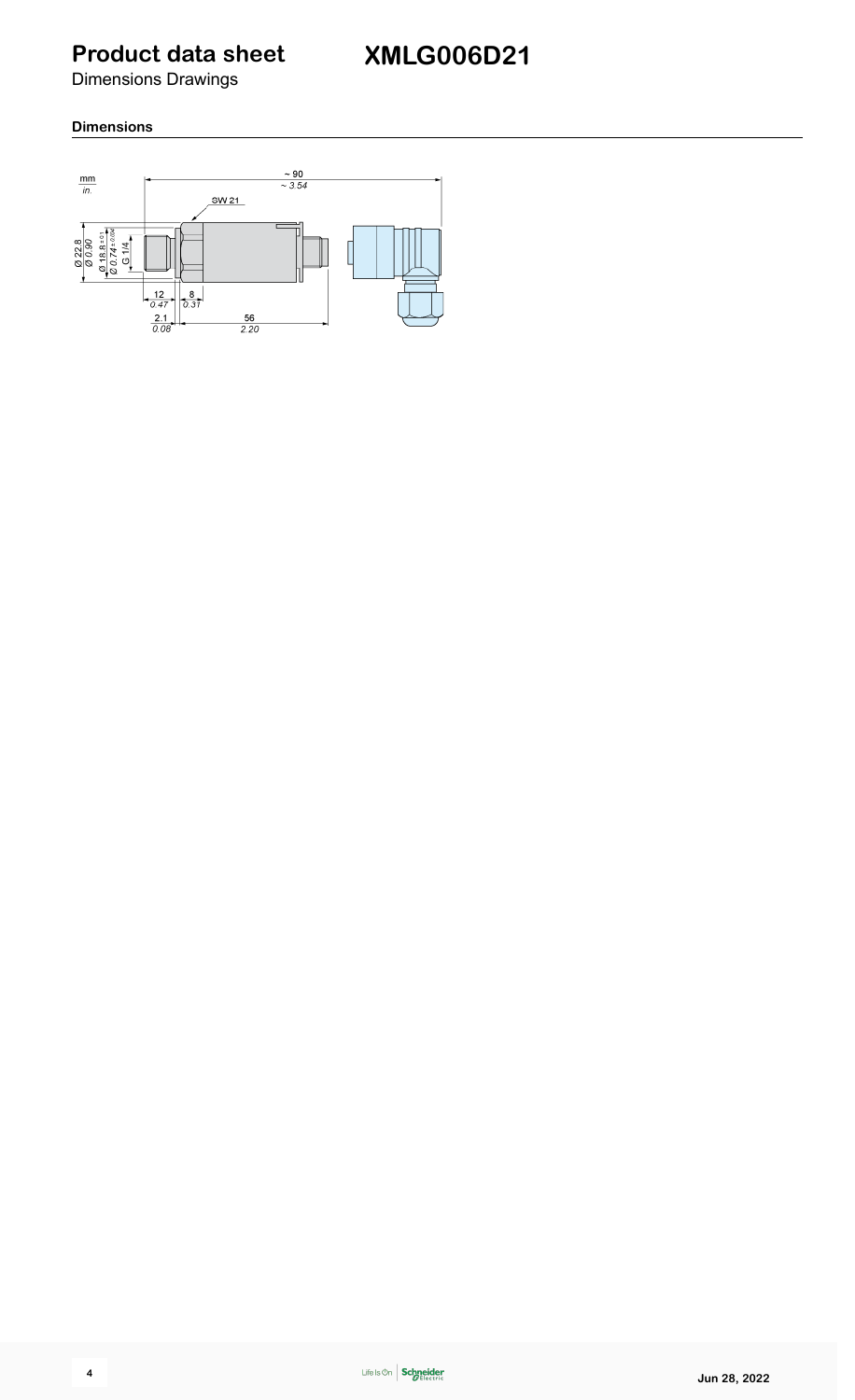Dimensions Drawings

#### **Dimensions**

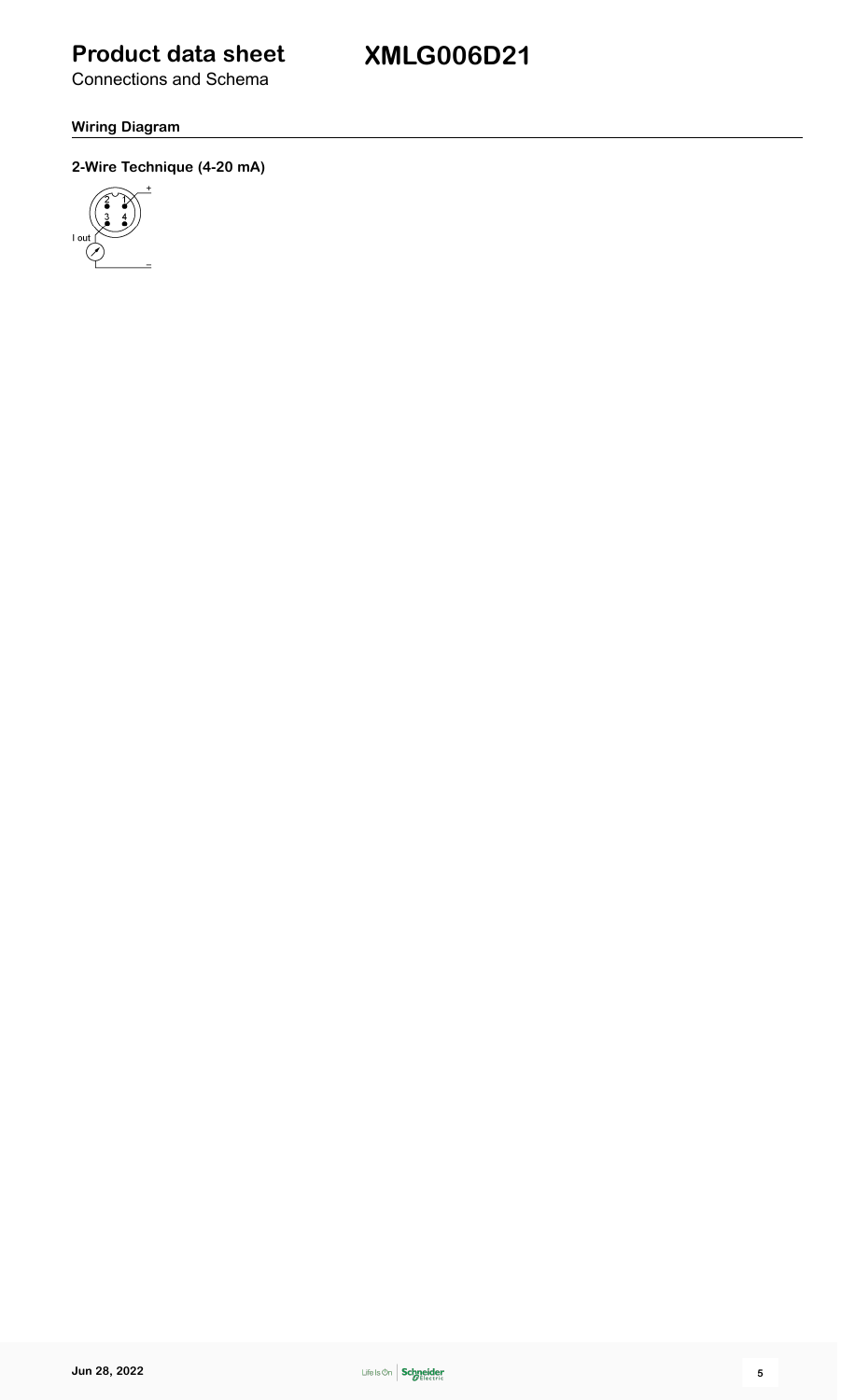**XMLG006D21**

Connections and Schema

#### **Wiring Diagram**

#### **2-Wire Technique (4-20 mA)**